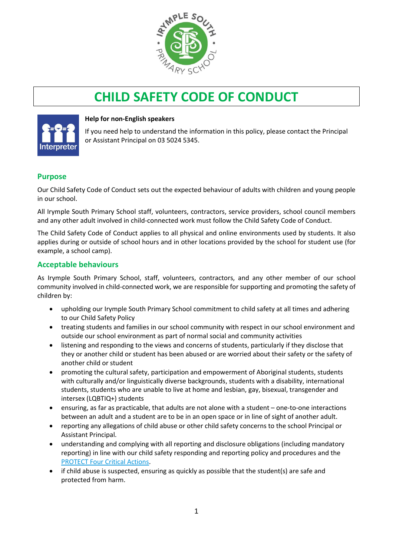

# **CHILD SAFETY CODE OF CONDUCT**



#### **Help for non-English speakers**

If you need help to understand the information in this policy, please contact the Principal or Assistant Principal on 03 5024 5345.

### **Purpose**

Our Child Safety Code of Conduct sets out the expected behaviour of adults with children and young people in our school.

All Irymple South Primary School staff, volunteers, contractors, service providers, school council members and any other adult involved in child-connected work must follow the Child Safety Code of Conduct.

The Child Safety Code of Conduct applies to all physical and online environments used by students. It also applies during or outside of school hours and in other locations provided by the school for student use (for example, a school camp).

### **Acceptable behaviours**

As Irymple South Primary School, staff, volunteers, contractors, and any other member of our school community involved in child-connected work, we are responsible for supporting and promoting the safety of children by:

- upholding our Irymple South Primary School commitment to child safety at all times and adhering to our Child Safety Policy
- treating students and families in our school community with respect in our school environment and outside our school environment as part of normal social and community activities
- listening and responding to the views and concerns of students, particularly if they disclose that they or another child or student has been abused or are worried about their safety or the safety of another child or student
- promoting the cultural safety, participation and empowerment of Aboriginal students, students with culturally and/or linguistically diverse backgrounds, students with a disability, international students, students who are unable to live at home and lesbian, gay, bisexual, transgender and intersex (LQBTIQ+) students
- ensuring, as far as practicable, that adults are not alone with a student one-to-one interactions between an adult and a student are to be in an open space or in line of sight of another adult.
- reporting any allegations of child abuse or other child safety concerns to the school Principal or Assistant Principal.
- understanding and complying with all reporting and disclosure obligations (including mandatory reporting) in line with our child safety responding and reporting policy and procedures and the [PROTECT Four Critical Actions.](https://www.education.vic.gov.au/Documents/about/programs/health/protect/FourCriticalActions_ChildAbuse.pdf)
- if child abuse is suspected, ensuring as quickly as possible that the student(s) are safe and protected from harm.